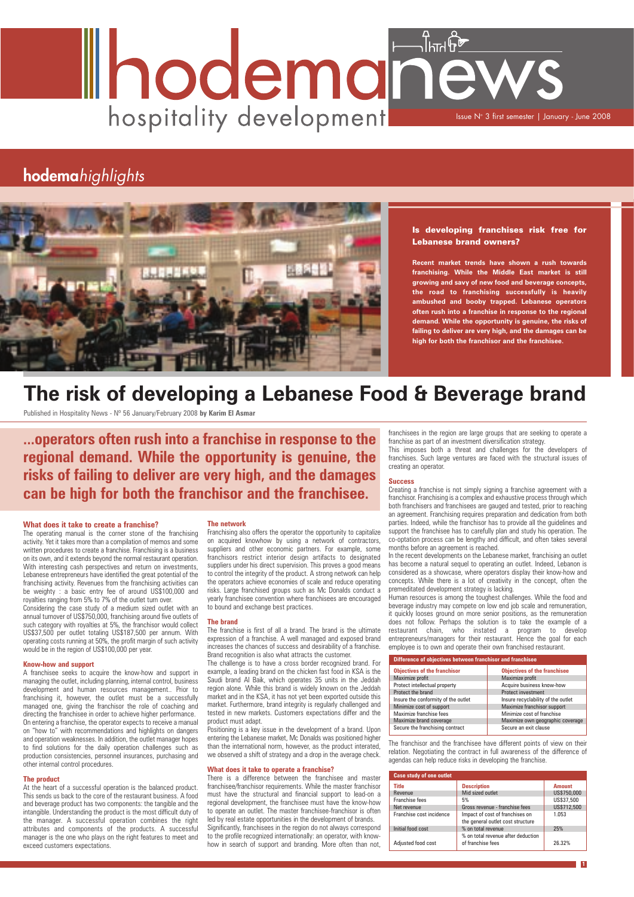# Ihodemanew hospitality development Issue N° 3 first semester | January - June 2008

# hodemahighlights



#### **What does it take to create a franchise?**

The operating manual is the corner stone of the franchising activity. Yet it takes more than a compilation of memos and some written procedures to create a franchise. Franchising is a business on its own, and it extends beyond the normal restaurant operation. With interesting cash perspectives and return on investments, Lebanese entrepreneurs have identified the great potential of the franchising activity. Revenues from the franchising activities can be weighty : a basic entry fee of around US\$100,000 and royalties ranging from 5% to 7% of the outlet turn over.

Considering the case study of a medium sized outlet with an annual turnover of US\$750,000, franchising around five outlets of such category with royalties at 5%, the franchisor would collect US\$37,500 per outlet totaling US\$187,500 per annum. With operating costs running at 50%, the profit margin of such activity would be in the region of US\$100,000 per year.

#### **Know-how and support**

A franchisee seeks to acquire the know-how and support in

managing the outlet, including planning, internal control, business development and human resources management.. Prior to franchising it, however, the outlet must be a successfully managed one, giving the franchisor the role of coaching and directing the franchisee in order to achieve higher performance. On entering a franchise, the operator expects to receive a manual on "how to" with recommendations and highlights on dangers and operation weaknesses. In addition, the outlet manager hopes to find solutions for the daily operation challenges such as production consistencies, personnel insurances, purchasing and other internal control procedures.

#### **The product**

At the heart of a successful operation is the balanced product. This sends us back to the core of the restaurant business. A food and beverage product has two components: the tangible and the intangible. Understanding the product is the most difficult duty of the manager. A successful operation combines the right attributes and components of the products. A successful manager is the one who plays on the right features to meet and exceed customers expectations.

#### **The network**

Franchising also offers the operator the opportunity to capitalize on acquired knowhow by using a network of contractors, suppliers and other economic partners. For example, some franchisors restrict interior design artifacts to designated suppliers under his direct supervision. This proves a good means to control the integrity of the product. A strong network can help the operators achieve economies of scale and reduce operating risks. Large franchised groups such as Mc Donalds conduct a yearly franchisee convention where franchisees are encouraged to bound and exchange best practices.

#### **The brand**

The franchise is first of all a brand. The brand is the ultimate expression of a franchise. A well managed and exposed brand increases the chances of success and desirability of a franchise. Brand recognition is also what attracts the customer.

The challenge is to have a cross border recognized brand. For example, a leading brand on the chicken fast food in KSA is the Saudi brand Al Baik, which operates 35 units in the Jeddah region alone. While this brand is widely known on the Jeddah market and in the KSA, it has not yet been exported outside this market. Furthermore, brand integrity is regularly challenged and tested in new markets. Customers expectations differ and the product must adapt. Positioning is a key issue in the development of a brand. Upon entering the Lebanese market, Mc Donalds was positioned higher than the international norm, however, as the product interated, we observed a shift of strategy and a drop in the average check.

#### **What does it take to operate a franchise?**

There is a difference between the franchisee and master franchisee/franchisor requirements. While the master franchisor must have the structural and financial support to lead-on a regional development, the franchisee must have the know-how to operate an outlet. The master franchisee-franchisor is often led by real estate opportunities in the development of brands. Significantly, franchisees in the region do not always correspond to the profile recognized internationally: an operator, with knowhow in search of support and branding. More often than not,

The franchisor and the franchisee have different points of view on their relation. Negotiating the contract in full awareness of the difference of agendas can help reduce risks in developing the franchise. ie franchisor and the fran Maximize own geographic coverage litterent points of

franchisees in the region are large groups that are seeking to operate a franchise as part of an investment diversification strategy.

This imposes both a threat and challenges for the developers of franchises. Such large ventures are faced with the structural issues of creating an operator.

#### **Success**

Creating a franchise is not simply signing a franchise agreement with a franchisor. Franchising is a complex and exhaustive process through which both franchisers and franchisees are gauged and tested, prior to reaching an agreement. Franchising requires preparation and dedication from both parties. Indeed, while the franchisor has to provide all the guidelines and support the franchisee has to carefully plan and study his operation. The co-optation process can be lengthy and difficult, and often takes several months before an agreement is reached.

In the recent developments on the Lebanese market, franchising an outlet has become a natural sequel to operating an outlet. Indeed, Lebanon is considered as a showcase, where operators display their know-how and concepts. While there is a lot of creativity in the concept, often the premeditated development strategy is lacking.

Human resources is among the toughest challenges. While the food and beverage industry may compete on low end job scale and remuneration, it quickly looses ground on more senior positions, as the remuneration does not follow. Perhaps the solution is to take the example of a restaurant chain, who instated a program to develop entrepreneurs/managers for their restaurant. Hence the goal for each employee is to own and operate their own franchised restaurant.

# **The risk of developing a Lebanese Food & Beverage brand**

Published in Hospitality News - Nº 56 January/February 2008 **by Karim El Asmar**

**1**

**...operators often rush into a franchise in response to the regional demand. While the opportunity is genuine, the risks of failing to deliver are very high, and the damages can be high for both the franchisor and the franchisee.**

#### Is developing franchises risk free for Lebanese brand owners?

**Recent market trends have shown a rush towards franchising. While the Middle East market is still growing and savy of new food and beverage concepts, the road to franchising successfully is heavily ambushed and booby trapped. Lebanese operators often rush into a franchise in response to the regional demand. While the opportunity is genuine, the risks of failing to deliver are very high, and the damages can be high for both the franchisor and the franchisee.** 

| Difference of objectives between franchisor and franchisee |                                     |  |
|------------------------------------------------------------|-------------------------------------|--|
| <b>Objectives of the franchisor</b>                        | <b>Objectives of the franchisee</b> |  |
| Maximize profit                                            | Maximize profit                     |  |
| Protect intellectual property                              | Acquire business know-how           |  |
| Protect the brand                                          | <b>Protect investment</b>           |  |
| Insure the conformity of the outlet                        | Insure recyclability of the outlet  |  |
| Minimize cost of support                                   | Maximize franchisor support         |  |
| Maximize franchise fees                                    | Minimize cost of franchise          |  |
| Maximize brand coverage                                    | Maximize own geographic coverage    |  |
| Secure the franchising contract                            | Secure an exit clause               |  |

| <b>Case study of one outlet</b> |                                                                      |               |
|---------------------------------|----------------------------------------------------------------------|---------------|
| <b>Title</b>                    | <b>Description</b>                                                   | <b>Amount</b> |
| Revenue                         | Mid sized outlet                                                     | US\$750,000   |
| Franchise fees                  | 5%                                                                   | US\$37,500    |
| Net revenue                     | Gross revenue - franchise fees                                       | US\$712,500   |
| Franchise cost incidence        | Impact of cost of franchises on<br>the general outlet cost structure | 1.053         |
| Initial food cost               | % on total revenue                                                   | 25%           |
| Adjusted food cost              | % on total revenue after deduction<br>of franchise fees              | 26.32%        |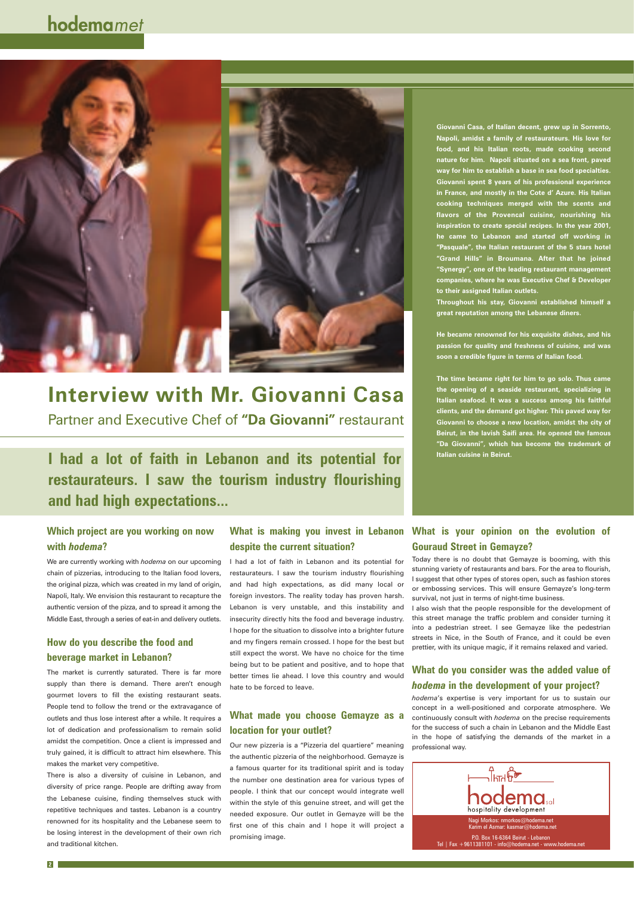# hodemamet



# **Interview with Mr. Giovanni Casa**

Partner and Executive Chef of **"Da Giovanni"** restaurant

**I had a lot of faith in Lebanon and its potential for restaurateurs. I saw the tourism industry flourishing and had high expectations...**

## **Which project are you working on now with** *hodema***?**

We are currently working with *hodema* on our upcoming chain of pizzerias, introducing to the Italian food lovers, the original pizza, which was created in my land of origin, Napoli, Italy. We envision this restaurant to recapture the authentic version of the pizza, and to spread it among the Middle East, through a series of eat-in and delivery outlets.

supply than there is demand. There aren't enough gourmet lovers to fill the existing restaurant seats. People tend to follow the trend or the extravagance of outlets and thus lose interest after a while. It requires a lot of dedication and professionalism to remain solid amidst the competition. Once a client is impressed and truly gained, it is difficult to attract him elsewhere. This makes the market very competitive.

## **How do you describe the food and beverage market in Lebanon?**

The market is currently saturated. There is far more

There is also a diversity of cuisine in Lebanon, and diversity of price range. People are drifting away from the Lebanese cuisine, finding themselves stuck with repetitive techniques and tastes. Lebanon is a country renowned for its hospitality and the Lebanese seem to be losing interest in the development of their own rich and traditional kitchen.

# **despite the current situation?**

I had a lot of faith in Lebanon and its potential for restaurateurs. I saw the tourism industry flourishing and had high expectations, as did many local or foreign investors. The reality today has proven harsh. Lebanon is very unstable, and this instability and insecurity directly hits the food and beverage industry. I hope for the situation to dissolve into a brighter future and my fingers remain crossed. I hope for the best but still expect the worst. We have no choice for the time being but to be patient and positive, and to hope that better times lie ahead. I love this country and would

hate to be forced to leave.

# **What made you choose Gemayze as a location for your outlet?**

Our new pizzeria is a "Pizzeria del quartiere" meaning the authentic pizzeria of the neighborhood. Gemayze is a famous quarter for its traditional spirit and is today the number one destination area for various types of people. I think that our concept would integrate well within the style of this genuine street, and will get the needed exposure. Our outlet in Gemayze will be the first one of this chain and I hope it will project a promising image.

## **What is making you invest in Lebanon What is your opinion on the evolution of Gouraud Street in Gemayze?**

**Giovanni Casa, of Italian decent, grew up in Sorrento, Napoli, amidst a family of restaurateurs. His love for food, and his Italian roots, made cooking second nature for him. Napoli situated on a sea front, paved way for him to establish a base in sea food specialties. Giovanni spent 8 years of his professional experience in France, and mostly in the Cote d' Azure. His Italian cooking techniques merged with the scents and flavors of the Provencal cuisine, nourishing his inspiration to create special recipes. In the year 2001, he came to Lebanon and started off working in "Pasquale", the Italian restaurant of the 5 stars hotel "Grand Hills" in Broumana. After that he joined "Synergy", one of the leading restaurant management companies, where he was Executive Chef & Developer to their assigned Italian outlets.** 

**Throughout his stay, Giovanni established himself a great reputation among the Lebanese diners.** 

**He became renowned for his exquisite dishes, and his passion for quality and freshness of cuisine, and was soon a credible figure in terms of Italian food.** 

**The time became right for him to go solo. Thus came the opening of a seaside restaurant, specializing in Italian seafood. It was a success among his faithful clients, and the demand got higher. This paved way for Giovanni to choose a new location, amidst the city of Beirut, in the lavish Saifi area. He opened the famous "Da Giovanni", which has become the trademark of Italian cuisine in Beirut.**

**2**



Today there is no doubt that Gemayze is booming, with this stunning variety of restaurants and bars. For the area to flourish, I suggest that other types of stores open, such as fashion stores or embossing services. This will ensure Gemayze's long-term survival, not just in terms of night-time business.

I also wish that the people responsible for the development of this street manage the traffic problem and consider turning it into a pedestrian street. I see Gemayze like the pedestrian streets in Nice, in the South of France, and it could be even prettier, with its unique magic, if it remains relaxed and varied.

## **What do you consider was the added value of**

## *hodema* **in the development of your project?**

*hodema*'s expertise is very important for us to sustain our concept in a well-positioned and corporate atmosphere. We continuously consult with *hodema* on the precise requirements for the success of such a chain in Lebanon and the Middle East in the hope of satisfying the demands of the market in a professional way.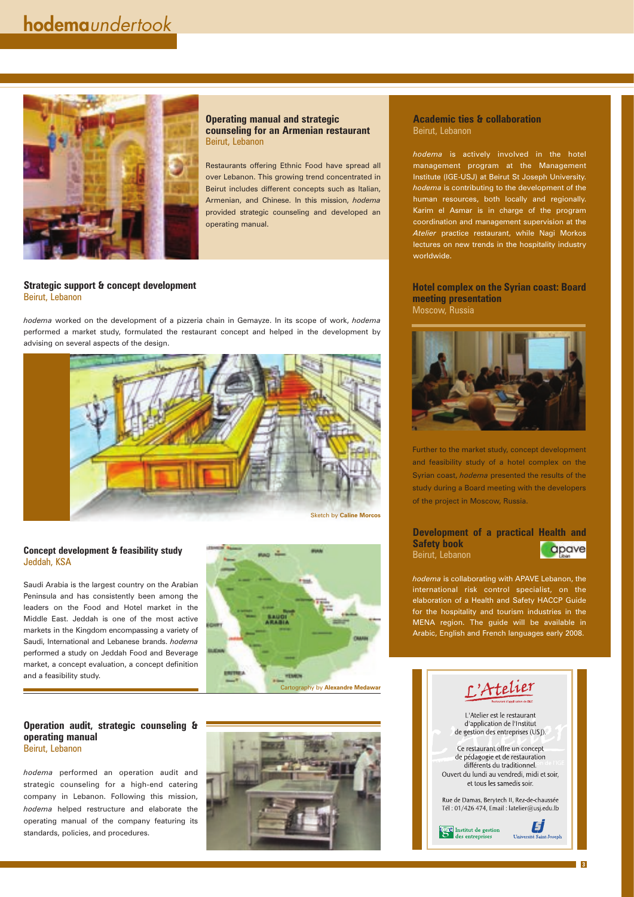### **Concept development & feasibility study** Jeddah, KSA

Saudi Arabia is the largest country on the Arabian Peninsula and has consistently been among the leaders on the Food and Hotel market in the Middle East. Jeddah is one of the most active markets in the Kingdom encompassing a variety of Saudi, International and Lebanese brands. *hodema* performed a study on Jeddah Food and Beverage market, a concept evaluation, a concept definition and a feasibility study.



### **Operation audit, strategic counseling & operating manual** Beirut, Lebanon

*hodema* performed an operation audit and strategic counseling for a high-end catering company in Lebanon. Following this mission, *hodema* helped restructure and elaborate the operating manual of the company featuring its standards, policies, and procedures.





L'Atelier est le restaurant d'application de l'Institut de gestion des entreprises (USJ).

Ce restaurant offre un concept de pédagogie et de restauration différents du traditionnel. Ouvert du lundi au vendredi, midi et soir, et tous les samedis soir.

Rue de Damas, Berytech II, Rez-de-chaussée Tél: 01/426 474, Email: latelier@usj.edu.lb



E **Université Saint-Joseph** 

**3**

#### **Academic ties & collaboration** Beirut, Lebanon

*hodema* is actively involved in the hotel management program at the Management Institute (IGE-USJ) at Beirut St Joseph University. *hodema* is contributing to the development of the human resources, both locally and regionally. Karim el Asmar is in charge of the program coordination and management supervision at the *Atelier* practice restaurant, while Nagi Morkos lectures on new trends in the hospitality industry worldwide.

### **Hotel complex on the Syrian coast: Board meeting presentation** Moscow, Russia



Further to the market study, concept development and feasibility study of a hotel complex on the Syrian coast, *hodema* presented the results of the study during a Board meeting with the developers of the project in Moscow, Russia.

#### **Development of a practical Health and Safety book** apave Beirut, Lebanon

*hodema* is collaborating with APAVE Lebanon, the international risk control specialist, on the elaboration of a Health and Safety HACCP Guide for the hospitality and tourism industries in the MENA region. The guide will be available in Arabic, English and French languages early 2008.



**Operating manual and strategic counseling for an Armenian restaurant** Beirut, Lebanon

Restaurants offering Ethnic Food have spread all over Lebanon. This growing trend concentrated in Beirut includes different concepts such as Italian, Armenian, and Chinese. In this mission, *hodema* provided strategic counseling and developed an operating manual.

#### **Strategic support & concept development** Beirut, Lebanon

*hodema* worked on the development of a pizzeria chain in Gemayze. In its scope of work, *hodema* performed a market study, formulated the restaurant concept and helped in the development by advising on several aspects of the design.

Cartography by **Alexandre Medawar**